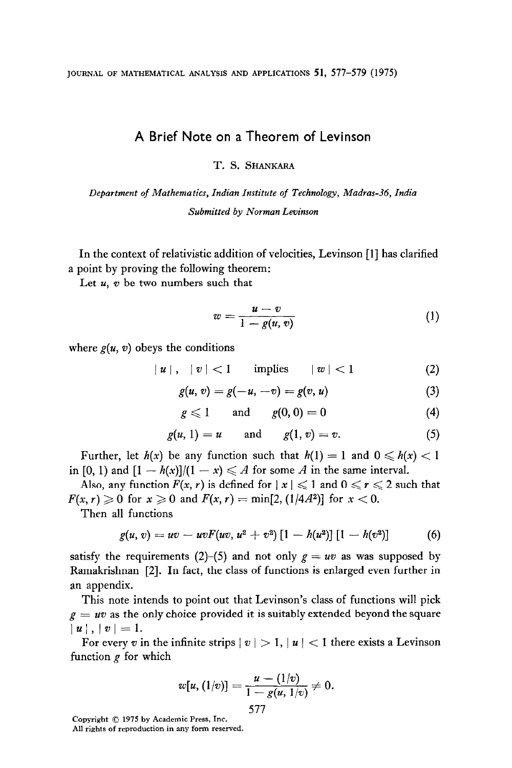## A Brief Note on a Theorem of Levinson

T. S. SHANKARA

Department of Mathematics, Indian Institute of Technology, Madras-36, India Submitted by Norman Levinson

In the context of relativistic addition of velocities, Levinson [l] has clarified a point by proving the following theorem:

Let  $u$ ,  $v$  be two numbers such that

$$
w = \frac{u - v}{1 - g(u, v)}
$$
 (1)

where  $g(u, v)$  obeys the conditions

 $|u|, |v| < 1$  implies  $|w| < 1$  (2)

$$
g(u, v) = g(-u, -v) = g(v, u)
$$
 (3)

$$
g\leqslant 1\qquad\text{and}\qquad g(0,0)=0\qquad \qquad (4)
$$

$$
g(u, 1) = u \quad \text{and} \quad g(1, v) = v. \tag{5}
$$

Further, let  $h(x)$  be any function such that  $h(1) = 1$  and  $0 \le h(x) < 1$ in [0, 1) and  $[1 - h(x)]/(1 - x) \leq A$  for some A in the same interval.

Also, any function  $F(x, r)$  is defined for  $|x| \leq 1$  and  $0 \leq r \leq 2$  such that  $F(x, r) \ge 0$  for  $x \ge 0$  and  $F(x, r) = \min[2, (1/4A^2)]$  for  $x < 0$ .

Then all functions

$$
g(u, v) = uv - uvF(uv, u2 + v2) [1 - h(u2)] [1 - h(v2)] \qquad (6)
$$

satisfy the requirements (2)–(5) and not only  $g = uv$  as was supposed by Ramakrishnan [2]. In fact, the class of functions is enlarged even further in an appendix.

This note intends to point out that Levinson's class of functions will pick  $g = uv$  as the only choice provided it is suitably extended beyond the square  $|u|, |v| = 1.$ 

For every v in the infinite strips  $|v| > 1$ ,  $|u| < 1$  there exists a Levinson function  $g$  for which

$$
w[u,(1/v)]=\frac{u-(1/v)}{1-g(u,1/v)}\neq 0.
$$

577

Copyright Q 1975 by Academic Press, Inc.

All rights of reproduction in any form reserved.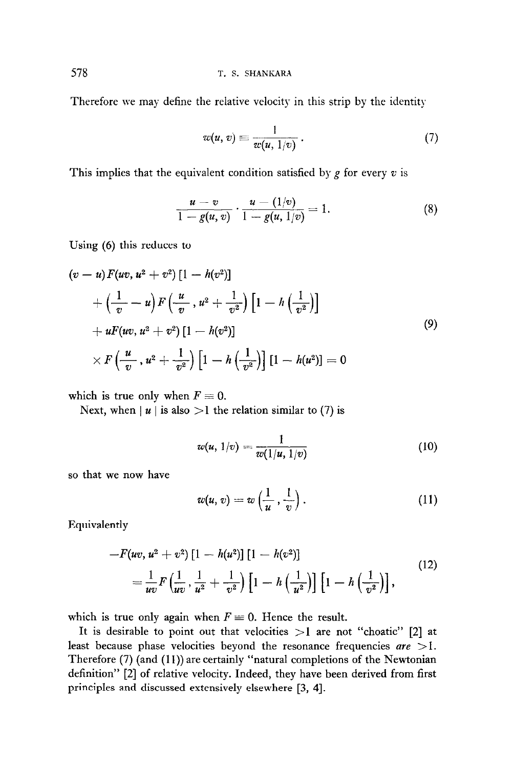578 T. S. SHANKARA

Therefore we may define the relative velocity in this strip by the identity

$$
w(u,v) \equiv \frac{1}{w(u,1/v)}\,. \tag{7}
$$

This implies that the equivalent condition satisfied by  $g$  for every  $v$  is

$$
\frac{u-v}{1-g(u,v)}\cdot\frac{u-(1/v)}{1-g(u,1/v)}=1.
$$
 (8)

Using (6) this reduces to

$$
(v-u) F(uv, u^{2} + v^{2}) [1 - h(v^{2})]
$$
  
+  $\left(\frac{1}{v} - u\right) F\left(\frac{u}{v}, u^{2} + \frac{1}{v^{2}}\right) \left[1 - h\left(\frac{1}{v^{2}}\right)\right]$   
+  $uF(uv, u^{2} + v^{2}) [1 - h(v^{2})]$   
 $\times F\left(\frac{u}{v}, u^{2} + \frac{1}{v^{2}}\right) \left[1 - h\left(\frac{1}{v^{2}}\right)\right] [1 - h(u^{2})] = 0$  (9)

which is true only when  $F \equiv 0$ .

Next, when  $|u|$  is also  $>l$  the relation similar to (7) is

$$
w(u, 1/v) = \frac{1}{w(1/u, 1/v)}
$$
(10)

so that we now have

$$
w(u,v) = w\left(\frac{1}{u},\frac{1}{v}\right). \tag{11}
$$

Equivalently

$$
-F(uv, u^{2} + v^{2})[1 - h(u^{2})][1 - h(v^{2})]
$$
  
=  $\frac{1}{uv}F(\frac{1}{uv}, \frac{1}{u^{2}} + \frac{1}{v^{2}})[1 - h(\frac{1}{u^{2}})][1 - h(\frac{1}{v^{2}})]$ , (12)

which is true only again when  $F \equiv 0$ . Hence the result.

It is desirable to point out that velocities  $>1$  are not "choatic" [2] at least because phase velocities beyond the resonance frequencies  $are$  >1. Therefore (7) (and (11)) are certainly "natural completions of the Newtonian definition" [2] of relative velocity. Indeed, they have been derived from first principles and discussed extensively elsewhere [3, 41.